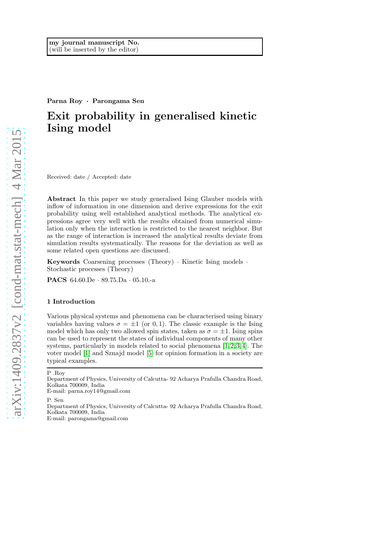Parna Roy · Parongama Sen

# Exit probability in generalised kinetic Ising model

Received: date / Accepted: date

Abstract In this paper we study generalised Ising Glauber models with inflow of information in one dimension and derive expressions for the exit probability using well established analytical methods. The analytical expressions agree very well with the results obtained from numerical simulation only when the interaction is restricted to the nearest neighbor. But as the range of interaction is increased the analytical results deviate from simulation results systematically. The reasons for the deviation as well as some related open questions are discussed.

Keywords Coarsening processes (Theory) · Kinetic Ising models · Stochastic processes (Theory)

PACS 64.60.De · 89.75.Da · 05.10.-a

### 1 Introduction

Various physical systems and phenomena can be characterised using binary variables having values  $\sigma = \pm 1$  (or 0, 1). The classic example is the Ising model which has only two allowed spin states, taken as  $\sigma = \pm 1$ . Ising spins can be used to represent the states of individual components of many other systems, particularly in models related to social phenomena  $[1, 2, 3, 4]$  $[1, 2, 3, 4]$  $[1, 2, 3, 4]$  $[1, 2, 3, 4]$ . The voter model [\[1\]](#page-12-0) and Sznajd model [\[5\]](#page-12-4) for opinion formation in a society are typical examples.

P .Roy

P. Sen

Department of Physics, University of Calcutta- 92 Acharya Prafulla Chandra Road, Kolkata 700009, India E-mail: parongama@gmail.com

Department of Physics, University of Calcutta- 92 Acharya Prafulla Chandra Road, Kolkata 700009, India E-mail: parna.roy14@gmail.com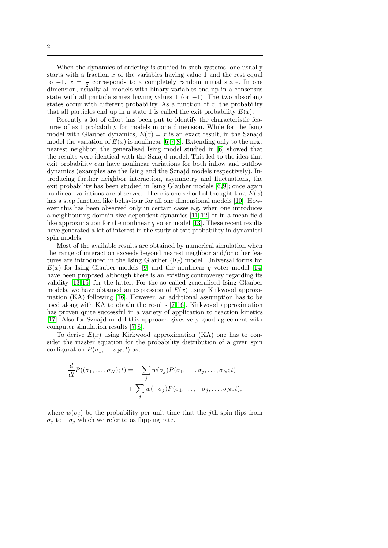When the dynamics of ordering is studied in such systems, one usually starts with a fraction  $x$  of the variables having value 1 and the rest equal to  $-1$ .  $x = \frac{1}{2}$  corresponds to a completely random initial state. In one dimension, usually all models with binary variables end up in a consensus state with all particle states having values 1 (or  $-1$ ). The two absorbing states occur with different probability. As a function of  $x$ , the probability that all particles end up in a state 1 is called the exit probability  $E(x)$ .

Recently a lot of effort has been put to identify the characteristic features of exit probability for models in one dimension. While for the Ising model with Glauber dynamics,  $E(x) = x$  is an exact result, in the Sznajd model the variation of  $E(x)$  is nonlinear [\[6,](#page-12-5)7,8]. Extending only to the next nearest neighbor, the generalised Ising model studied in [\[6\]](#page-12-5) showed that the results were identical with the Sznajd model. This led to the idea that exit probability can have nonlinear variations for both inflow and outflow dynamics (examples are the Ising and the Sznajd models respectively). Introducing further neighbor interaction, asymmetry and fluctuations, the exit probability has been studied in Ising Glauber models [\[6,](#page-12-5) [9\]](#page-12-8); once again nonlinear variations are observed. There is one school of thought that  $E(x)$ has a step function like behaviour for all one dimensional models [\[10\]](#page-12-9). However this has been observed only in certain cases e.g. when one introduces a neighbouring domain size dependent dynamics [\[11,](#page-12-10) [12\]](#page-12-11) or in a mean field like approximation for the nonlinear  $q$  voter model [\[13\]](#page-12-12). These recent results heve generated a lot of interest in the study of exit probability in dynamical spin models.

Most of the available results are obtained by numerical simulation when the range of interaction exceeds beyond nearest neighbor and/or other features are introduced in the Ising Glauber (IG) model. Universal forms for  $E(x)$  for Ising Glauber models [\[9\]](#page-12-8) and the nonlinear q voter model [\[14\]](#page-12-13) have been proposed although there is an existing controversy regarding its validity [\[13,](#page-12-12) [15\]](#page-12-14) for the latter. For the so called generalised Ising Glauber models, we have obtained an expression of  $E(x)$  using Kirkwood approximation (KA) following [\[16\]](#page-12-15). However, an additional assumption has to be used along with KA to obtain the results [\[7,](#page-12-6) [16\]](#page-12-15). Kirkwood approximation has proven quite successful in a variety of application to reaction kinetics [\[17\]](#page-13-0). Also for Sznajd model this approach gives very good agreement with computer simulation results [\[7,](#page-12-6) [8\]](#page-12-7).

To derive  $E(x)$  using Kirkwood approximation (KA) one has to consider the master equation for the probability distribution of a given spin configuration  $P(\sigma_1, \ldots \sigma_N, t)$  as,

$$
\frac{d}{dt}P((\sigma_1,\ldots,\sigma_N);t) = -\sum_j w(\sigma_j)P(\sigma_1,\ldots,\sigma_j,\ldots,\sigma_N;t) \n+ \sum_j w(-\sigma_j)P(\sigma_1,\ldots,-\sigma_j,\ldots,\sigma_N;t),
$$

where  $w(\sigma_i)$  be the probability per unit time that the *j*th spin flips from  $\sigma_j$  to  $-\sigma_j$  which we refer to as flipping rate.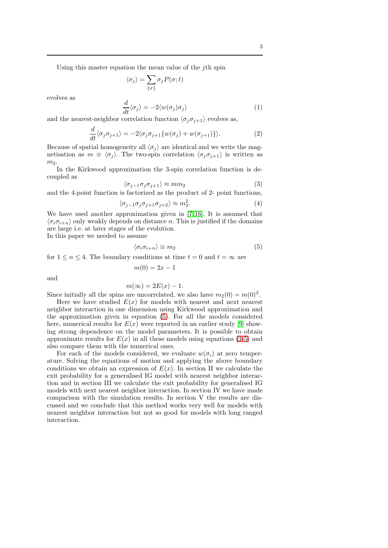Using this master equation the mean value of the  $j$ th spin

$$
\langle \sigma_j \rangle = \sum_{\{\sigma\}} \sigma_j P(\sigma; t)
$$

evolves as

<span id="page-2-2"></span>
$$
\frac{d}{dt}\langle \sigma_j \rangle = -2 \langle w(\sigma_j) \sigma_j \rangle \tag{1}
$$

and the nearest-neighbor correlation function  $\langle \sigma_i \sigma_{i+1} \rangle$  evolves as,

<span id="page-2-3"></span>
$$
\frac{d}{dt}\langle \sigma_j \sigma_{j+1} \rangle = -2 \langle \sigma_j \sigma_{j+1} \{ w(\sigma_j) + w(\sigma_{j+1}) \} \rangle.
$$
 (2)

Because of spatial homogeneity all  $\langle \sigma_i \rangle$  are identical and we write the magnetisation as  $m \equiv \langle \sigma_i \rangle$ . The two-spin correlation  $\langle \sigma_i \sigma_{i+1} \rangle$  is written as  $m<sub>2</sub>$ .

In the Kirkwood approximation the 3-spin correlation function is decoupled as

<span id="page-2-1"></span>
$$
\langle \sigma_{j-1} \sigma_j \sigma_{j+1} \rangle \approx m m_2 \tag{3}
$$

and the 4-point function is factorized as the product of 2- point functions,

<span id="page-2-4"></span>
$$
\langle \sigma_{j-1} \sigma_j \sigma_{j+1} \sigma_{j+2} \rangle \approx m_2^2. \tag{4}
$$

We have used another approximation given in [\[7,](#page-12-6) [16\]](#page-12-15). It is assumed that  $\langle \sigma_i \sigma_{i+n} \rangle$  only weakly depends on distance n. This is justified if the domains are large i.e. at later stages of the evolution. In this paper we needed to assume

<span id="page-2-0"></span>
$$
\langle \sigma_i \sigma_{i+n} \rangle \equiv m_2 \tag{5}
$$

for  $1 \le n \le 4$ . The boundary conditions at time  $t = 0$  and  $t = \infty$  are

$$
m(0) = 2x - 1
$$

and

$$
m(\infty) = 2E(x) - 1.
$$

Since initially all the spins are uncorrelated, we also have  $m_2(0) = m(0)^2$ .

Here we have studied  $E(x)$  for models with nearest and next nearest neighbor interaction in one dimension using Kirkwood approximation and the approximation given in equation [\(5\)](#page-2-0). For all the models considered here, numerical results for  $E(x)$  were reported in an earlier study [\[9\]](#page-12-8) showing strong dependence on the model parameters. It is possible to obtain approximate results for  $E(x)$  in all these models using equations [\(3-](#page-2-1)[5\)](#page-2-0) and also compare them with the numerical ones.

For each of the models considered, we evaluate  $w(\sigma_i)$  at zero temperature. Solving the equations of motion and applying the above boundary conditions we obtain an expression of  $E(x)$ . In section II we calculate the exit probability for a generalised IG model with nearest neighbor interaction and in section III we calculate the exit probability for generalised IG models with next nearest neighbor interaction. In section IV we have made comparison with the simulation results. In section V the results are discussed and we conclude that this method works very well for models with nearest neighbor interaction but not so good for models with long ranged interaction.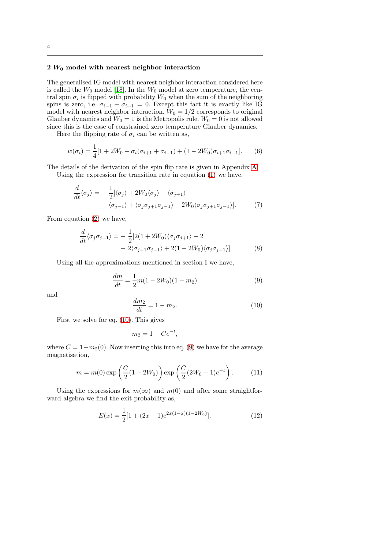# $2 W_0$  model with nearest neighbor interaction

The generalised IG model with nearest neighbor interaction considered here is called the  $W_0$  model [\[18\]](#page-13-1). In the  $W_0$  model at zero temperature, the central spin  $\sigma_i$  is flipped with probability  $W_0$  when the sum of the neighboring spins is zero, i.e.  $\sigma_{i-1} + \sigma_{i+1} = 0$ . Except this fact it is exactly like IG model with nearest neighbor interaction.  $W_0 = 1/2$  corresponds to original Glauber dynamics and  $W_0 = 1$  is the Metropolis rule.  $W_0 = 0$  is not allowed since this is the case of constrained zero temperature Glauber dynamics.

Here the flipping rate of  $\sigma_i$  can be written as,

<span id="page-3-4"></span>
$$
w(\sigma_i) = \frac{1}{4} [1 + 2W_0 - \sigma_i(\sigma_{i+1} + \sigma_{i-1}) + (1 - 2W_0)\sigma_{i+1}\sigma_{i-1}].
$$
 (6)

The details of the derivation of the spin flip rate is given in Appendix [A.](#page-11-0)

Using the expression for transition rate in equation [\(1\)](#page-2-2) we have,

$$
\frac{d}{dt}\langle \sigma_j \rangle = -\frac{1}{2} [\langle \sigma_j \rangle + 2W_0 \langle \sigma_j \rangle - \langle \sigma_{j+1} \rangle \n- \langle \sigma_{j-1} \rangle + \langle \sigma_j \sigma_{j+1} \sigma_{j-1} \rangle - 2W_0 \langle \sigma_j \sigma_{j+1} \sigma_{j-1} \rangle].
$$
\n(7)

From equation [\(2\)](#page-2-3) we have,

<span id="page-3-3"></span>
$$
\frac{d}{dt}\langle \sigma_j \sigma_{j+1} \rangle = -\frac{1}{2} [2(1+2W_0)\langle \sigma_j \sigma_{j+1} \rangle - 2 \n- 2\langle \sigma_{j+1} \sigma_{j-1} \rangle + 2(1-2W_0)\langle \sigma_j \sigma_{j-1} \rangle]
$$
\n(8)

Using all the approximations mentioned in section I we have,

<span id="page-3-1"></span>
$$
\frac{dm}{dt} = \frac{1}{2}m(1 - 2W_0)(1 - m_2)
$$
\n(9)

and

<span id="page-3-0"></span>
$$
\frac{dm_2}{dt} = 1 - m_2.
$$
 (10)

First we solve for eq. [\(10\)](#page-3-0). This gives

$$
m_2 = 1 - Ce^{-t}
$$

where  $C = 1 - m<sub>2</sub>(0)$ . Now inserting this into eq. [\(9\)](#page-3-1) we have for the average magnetisation,

$$
m = m(0) \exp\left(\frac{C}{2}(1 - 2W_0)\right) \exp\left(\frac{C}{2}(2W_0 - 1)e^{-t}\right).
$$
 (11)

,

Using the expressions for  $m(\infty)$  and  $m(0)$  and after some straightforward algebra we find the exit probability as,

<span id="page-3-2"></span>
$$
E(x) = \frac{1}{2} [1 + (2x - 1)e^{2x(1-x)(1-2W_0)}].
$$
 (12)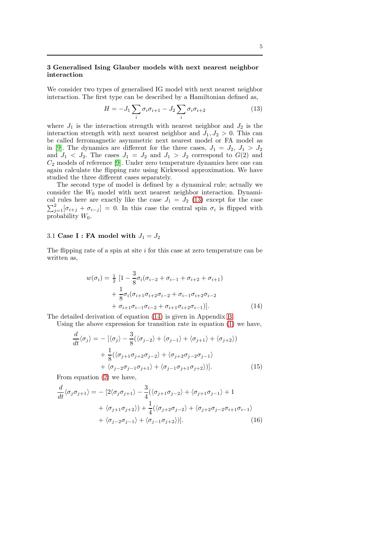### 3 Generalised Ising Glauber models with next nearest neighbor interaction

We consider two types of generalised IG model with next nearest neighbor interaction. The first type can be described by a Hamiltonian defined as,

<span id="page-4-0"></span>
$$
H = -J_1 \sum_i \sigma_i \sigma_{i+1} - J_2 \sum_i \sigma_i \sigma_{i+2} \tag{13}
$$

where  $J_1$  is the interaction strength with nearest neighbor and  $J_2$  is the interaction strength with next nearest neighbor and  $J_1, J_2 > 0$ . This can be called ferromagnetic asymmetric next nearest model or FA model as in [\[9\]](#page-12-8). The dynamics are different for the three cases,  $J_1 = J_2, J_1 > J_2$ and  $J_1$  <  $J_2$ . The cases  $J_1 = J_2$  and  $J_1 > J_2$  correspond to  $G(2)$  and  $C_2$  models of reference [\[9\]](#page-12-8). Under zero temperature dynamics here one can again calculate the flipping rate using Kirkwood approximation. We have studied the three different cases separately.

The second type of model is defined by a dynamical rule; actually we consider the  $W_0$  model with next nearest neighbor interaction. Dynamical rules here are exactly like the case  $J_1 = J_2$  [\(13\)](#page-4-0) except for the case  $\sum_{j=1}^{2} [\sigma_{i+j} + \sigma_{i-j}] = 0$ . In this case the central spin  $\sigma_i$  is flipped with probability  $W_0$ .

### 3.1 Case I : FA model with  $J_1 = J_2$

The flipping rate of a spin at site  $i$  for this case at zero temperature can be written as,

<span id="page-4-1"></span>
$$
w(\sigma_i) = \frac{1}{2} \left[ 1 - \frac{3}{8} \sigma_i (\sigma_{i-2} + \sigma_{i-1} + \sigma_{i+2} + \sigma_{i+1}) + \frac{1}{8} \sigma_i (\sigma_{i+1} \sigma_{i+2} \sigma_{i-2} + \sigma_{i-1} \sigma_{i+2} \sigma_{i-2} + \sigma_{i+1} \sigma_{i-1} \sigma_{i-2} + \sigma_{i+1} \sigma_{i+2} \sigma_{i-1}) \right].
$$
\n(14)

The detailed derivation of equation [\(14\)](#page-4-1) is given in Appendix [B.](#page-11-1)

Using the above expression for transition rate in equation [\(1\)](#page-2-2) we have,

$$
\frac{d}{dt}\langle\sigma_j\rangle = -\left[\langle\sigma_j\rangle - \frac{3}{8}(\langle\sigma_{j-2}\rangle + \langle\sigma_{j-1}\rangle + \langle\sigma_{j+1}\rangle + \langle\sigma_{j+2}\rangle) + \frac{1}{8}(\langle\sigma_{j+1}\sigma_{j+2}\sigma_{j-2}\rangle + \langle\sigma_{j+2}\sigma_{j-2}\sigma_{j-1}\rangle + \langle\sigma_{j-2}\sigma_{j-1}\sigma_{j+1}\rangle + \langle\sigma_{j-1}\sigma_{j+1}\sigma_{j+2}\rangle)\right].
$$
\n(15)

From equation [\(2\)](#page-2-3) we have,

<span id="page-4-2"></span>
$$
\frac{d}{dt}\langle\sigma_j\sigma_{j+1}\rangle = -[2\langle\sigma_j\sigma_{j+1}\rangle - \frac{3}{4}(\langle\sigma_{j+1}\sigma_{j-2}\rangle + \langle\sigma_{j+1}\sigma_{j-1}\rangle + 1 \n+ \langle\sigma_{j+1}\sigma_{j+2}\rangle) + \frac{1}{4}(\langle\sigma_{j+2}\sigma_{j-2}\rangle + \langle\sigma_{j+2}\sigma_{j-2}\sigma_{i+1}\sigma_{i-1}\rangle \n+ \langle\sigma_{j-2}\sigma_{j-1}\rangle + \langle\sigma_{j-1}\sigma_{j+2}\rangle)].
$$
\n(16)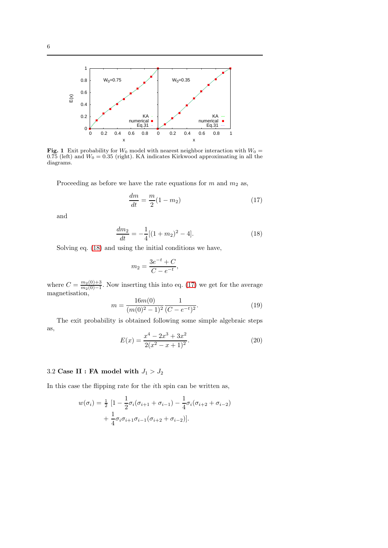

<span id="page-5-2"></span>**Fig. 1** Exit probability for  $W_0$  model with nearest neighbor interaction with  $W_0 =$ 0.75 (left) and  $W_0 = 0.35$  (right). KA indicates Kirkwood approximating in all the diagrams.

Proceeding as before we have the rate equations for  $m$  and  $m_2$  as,

<span id="page-5-1"></span>
$$
\frac{dm}{dt} = \frac{m}{2}(1 - m_2) \tag{17}
$$

and

<span id="page-5-0"></span>
$$
\frac{dm_2}{dt} = -\frac{1}{4}[(1+m_2)^2 - 4].\tag{18}
$$

Solving eq. [\(18\)](#page-5-0) and using the initial conditions we have,

$$
m_2 = \frac{3e^{-t} + C}{C - e^{-t}},
$$

where  $C = \frac{m_2(0)+3}{m_2(0)-1}$  $\frac{m_2(0)+3}{m_2(0)-1}$ . Now inserting this into eq. [\(17\)](#page-5-1) we get for the average magnetisation,

$$
m = \frac{16m(0)}{(m(0)^2 - 1)^2} \frac{1}{(C - e^{-t})^2}.
$$
\n(19)

The exit probability is obtained following some simple algebraic steps as,

<span id="page-5-3"></span>
$$
E(x) = \frac{x^4 - 2x^3 + 3x^2}{2(x^2 - x + 1)^2}.
$$
\n(20)

# 3.2 Case II : FA model with  $J_1 > J_2$

In this case the flipping rate for the ith spin can be written as,

$$
w(\sigma_i) = \frac{1}{2} \left[ 1 - \frac{1}{2} \sigma_i (\sigma_{i+1} + \sigma_{i-1}) - \frac{1}{4} \sigma_i (\sigma_{i+2} + \sigma_{i-2}) + \frac{1}{4} \sigma_i \sigma_{i+1} \sigma_{i-1} (\sigma_{i+2} + \sigma_{i-2}) \right].
$$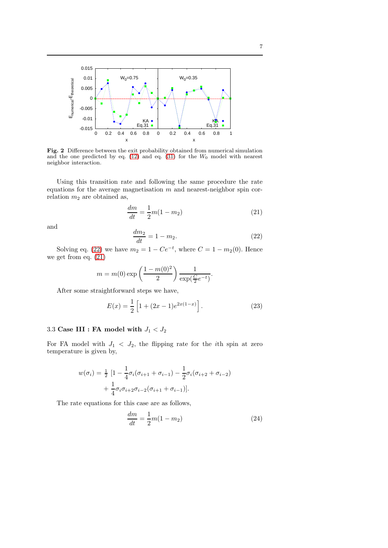

<span id="page-6-3"></span>Fig. 2 Difference between the exit probability obtained from numerical simulation and the one predicted by eq.  $(12)$  and eq.  $(31)$  for the  $W_0$  model with nearest neighbor interaction.

Using this transition rate and following the same procedure the rate equations for the average magnetisation  $m$  and nearest-neighbor spin correlation  $m_2$  are obtained as,

<span id="page-6-1"></span>
$$
\frac{dm}{dt} = \frac{1}{2}m(1 - m_2)
$$
\n(21)

and

<span id="page-6-0"></span>
$$
\frac{dm_2}{dt} = 1 - m_2. \t\t(22)
$$

Solving eq. [\(22\)](#page-6-0) we have  $m_2 = 1 - Ce^{-t}$ , where  $C = 1 - m_2(0)$ . Hence we get from eq. [\(21\)](#page-6-1)

$$
m = m(0) \exp\left(\frac{1 - m(0)^2}{2}\right) \frac{1}{\exp(\frac{C}{2}e^{-t})}.
$$

After some straightforward steps we have,

<span id="page-6-4"></span>
$$
E(x) = \frac{1}{2} \left[ 1 + (2x - 1)e^{2x(1-x)} \right].
$$
 (23)

# 3.3 Case III : FA model with  $J_1 < J_2$

For FA model with  $J_1 < J_2$ , the flipping rate for the *i*th spin at zero temperature is given by,

$$
w(\sigma_i) = \frac{1}{2} \left[ 1 - \frac{1}{4} \sigma_i (\sigma_{i+1} + \sigma_{i-1}) - \frac{1}{2} \sigma_i (\sigma_{i+2} + \sigma_{i-2}) + \frac{1}{4} \sigma_i \sigma_{i+2} \sigma_{i-2} (\sigma_{i+1} + \sigma_{i-1}) \right].
$$

The rate equations for this case are as follows,

<span id="page-6-2"></span>
$$
\frac{dm}{dt} = \frac{1}{2}m(1 - m_2)
$$
 (24)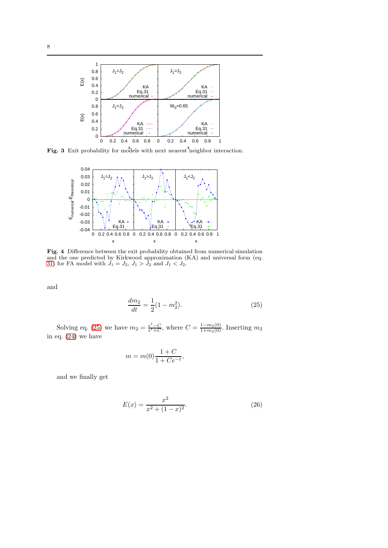

Fig. 3 Exit probability for models with next nearest neighbor interaction.

<span id="page-7-2"></span>

<span id="page-7-3"></span>Fig. 4 Difference between the exit probability obtained from numerical simulation and the one predicted by Kirkwood approximation (KA) and universal form (eq. [31\)](#page-9-0) for FA model with  $J_1 = J_2$ ,  $J_1 > J_2$  and  $J_1 < J_2$ .

and

<span id="page-7-0"></span>
$$
\frac{dm_2}{dt} = \frac{1}{2}(1 - m_2^2). \tag{25}
$$

Solving eq. [\(25\)](#page-7-0) we have  $m_2 = \frac{e^t - C}{e^t + C}$ , where  $C = \frac{1 - m_2(0)}{1 + m_2(0)}$ . Inserting  $m_2$ in eq. [\(24\)](#page-6-2) we have

$$
m = m(0) \frac{1 + C}{1 + Ce^{-t}},
$$

and we finally get

<span id="page-7-1"></span>
$$
E(x) = \frac{x^2}{x^2 + (1 - x)^2}.
$$
\n(26)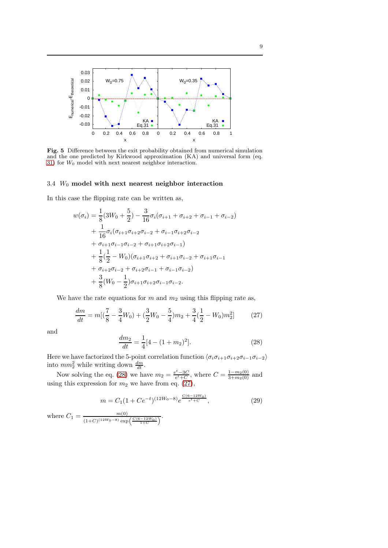

<span id="page-8-2"></span>Fig. 5 Difference between the exit probability obtained from numerical simulation and the one predicted by Kirkwood approximation (KA) and universal form (eq. [31\)](#page-9-0) for  $W_0$  model with next nearest neighbor interaction.

# $3.4\,$   $W_0$  model with next nearest neighbor interaction

In this case the flipping rate can be written as,

$$
w(\sigma_i) = \frac{1}{8}(3W_0 + \frac{5}{2}) - \frac{3}{16}\sigma_i(\sigma_{i+1} + \sigma_{i+2} + \sigma_{i-1} + \sigma_{i-2})
$$
  
+ 
$$
\frac{1}{16}\sigma_i(\sigma_{i+1}\sigma_{i+2}\sigma_{i-2} + \sigma_{i-1}\sigma_{i+2}\sigma_{i-2}
$$
  
+ 
$$
\sigma_{i+1}\sigma_{i-1}\sigma_{i-2} + \sigma_{i+1}\sigma_{i+2}\sigma_{i-1})
$$
  
+ 
$$
\frac{1}{8}(\frac{1}{2} - W_0)(\sigma_{i+1}\sigma_{i+2} + \sigma_{i+1}\sigma_{i-2} + \sigma_{i+1}\sigma_{i-1})
$$
  
+ 
$$
\sigma_{i+2}\sigma_{i-2} + \sigma_{i+2}\sigma_{i-1} + \sigma_{i-1}\sigma_{i-2})
$$
  
+ 
$$
\frac{3}{8}(W_0 - \frac{1}{2})\sigma_{i+1}\sigma_{i+2}\sigma_{i-1}\sigma_{i-2}.
$$

We have the rate equations for  $m$  and  $m<sub>2</sub>$  using this flipping rate as,

<span id="page-8-1"></span>
$$
\frac{dm}{dt} = m\left[\left(\frac{7}{8} - \frac{3}{4}W_0\right) + \left(\frac{3}{2}W_0 - \frac{5}{4}\right)m_2 + \frac{3}{4}\left(\frac{1}{2} - W_0\right)m_2^2\right] \tag{27}
$$

and

<span id="page-8-0"></span>
$$
\frac{dm_2}{dt} = \frac{1}{4} [4 - (1 + m_2)^2].
$$
\n(28)

Here we have factorized the 5-point correlation function  $\langle \sigma_i \sigma_{i+1} \sigma_{i+2} \sigma_{i-1} \sigma_{i-2} \rangle$ into  $mm_2^2$  while writing down  $\frac{dm}{dt}$ .

Now solving the eq. [\(28\)](#page-8-0) we have  $m_2 = \frac{e^t - 3C}{e^t + C}$ , where  $C = \frac{1 - m_2(0)}{3 + m_2(0)}$  and using this expression for  $m_2$  we have from eq. [\(27\)](#page-8-1),

$$
m = C_1 (1 + Ce^{-t})^{(12W_0 - 8)} e^{\frac{C(6 - 12W_0)}{e^t + C}}, \tag{29}
$$

where  $C_1 = \frac{m(0)}{(1+C)(12W_0-8)}$  $\frac{m(0)}{(1+C)^{(12W_0-8)}\exp\left(\frac{C(6-12W_0)}{1+C}\right)}.$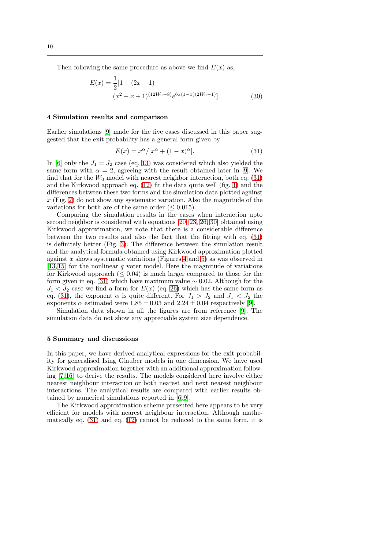Then following the same procedure as above we find  $E(x)$  as,

<span id="page-9-1"></span>
$$
E(x) = \frac{1}{2} [1 + (2x - 1)
$$
  

$$
(x^2 - x + 1)^{(12W_0 - 8)} e^{6x(1 - x)(2W_0 - 1)}].
$$
 (30)

### 4 Simulation results and comparison

Earlier simulations [\[9\]](#page-12-8) made for the five cases discussed in this paper suggested that the exit probability has a general form given by

<span id="page-9-0"></span>
$$
E(x) = x^{\alpha}/[x^{\alpha} + (1-x)^{\alpha}].
$$
\n(31)

In [\[6\]](#page-12-5) only the  $J_1 = J_2$  case (eq. [13\)](#page-4-0) was considered which also yielded the same form with  $\alpha = 2$ , agreeing with the result obtained later in [\[9\]](#page-12-8). We find that for the  $W_0$  model with nearest neighbor interaction, both eq. [\(31\)](#page-9-0) and the Kirkwood approach eq. [\(12\)](#page-3-2) fit the data quite well (fig. [1\)](#page-5-2) and the differences between these two forms and the simulation data plotted against  $x$  (Fig. [2\)](#page-6-3) do not show any systematic variation. Also the magnitude of the variations for both are of the same order ( $\leq 0.015$ ).

Comparing the simulation results in the cases when interaction upto second neighbor is considered with equations [\[20,](#page-5-3) [23,](#page-6-4) [26,](#page-7-1) [30\]](#page-9-1) obtained using Kirkwood approximation, we note that there is a considerable difference between the two results and also the fact that the fitting with eq. [\(31\)](#page-9-0) is definitely better (Fig. [3\)](#page-7-2). The difference between the simulation result and the analytical formula obtained using Kirkwood approximation plotted against x shows systematic variations (Figures [4](#page-7-3) and [5\)](#page-8-2) as was observed in [\[13,](#page-12-12)15] for the nonlinear q voter model. Here the magnitude of variations for Kirkwood approach  $(< 0.04$ ) is much larger compared to those for the form given in eq. [\(31\)](#page-9-0) which have maximum value  $\sim$  0.02. Although for the  $J_1 < J_2$  case we find a form for  $E(x)$  (eq. [26\)](#page-7-1) which has the same form as eq. [\(31\)](#page-9-0), the exponent  $\alpha$  is quite different. For  $J_1 > J_2$  and  $J_1 < J_2$  the exponents  $\alpha$  estimated were  $1.85 \pm 0.03$  and  $2.24 \pm 0.04$  respectively [\[9\]](#page-12-8).

Simulation data shown in all the figures are from reference [\[9\]](#page-12-8). The simulation data do not show any appreciable system size dependence.

#### 5 Summary and discussions

In this paper, we have derived analytical expressions for the exit probability for generalised Ising Glauber models in one dimension. We have used Kirkwood approximation together with an additional approximation following [\[7,](#page-12-6) [16\]](#page-12-15) to derive the results. The models considered here involve either nearest neighbour interaction or both nearest and next nearest neighbour interactions. The analytical results are compared with earlier results obtained by numerical simulations reported in [\[6,](#page-12-5) [9\]](#page-12-8).

The Kirkwood approximation scheme presented here appears to be very efficient for models with nearest neighbour interaction. Although mathematically eq. [\(31\)](#page-9-0) and eq. [\(12\)](#page-3-2) cannot be reduced to the same form, it is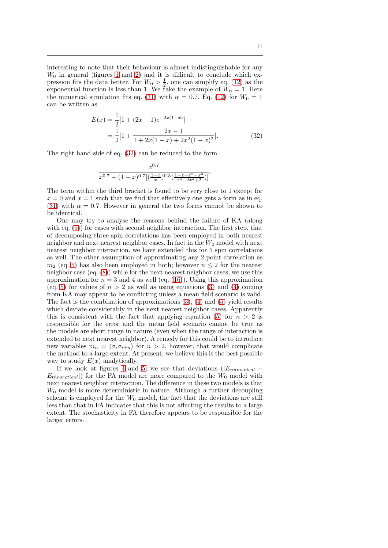interesting to note that their behaviour is almost indistinguishable for any  $W_0$  in general (figures [1](#page-5-2) and [2\)](#page-6-3) and it is difficult to conclude which expression fits the data better. For  $W_0 > \frac{1}{2}$ , one can simplify eq. [\(12\)](#page-3-2) as the exponential function is less than 1. We take the example of  $\hat{W}_0 = 1$ . Here the numerical simulation fits eq. [\(31\)](#page-9-0) with  $\alpha = 0.7$ . Eq. [\(12\)](#page-3-2) for  $W_0 = 1$ can be written as

<span id="page-10-0"></span>
$$
E(x) = \frac{1}{2} [1 + (2x - 1)e^{-2x(1-x)}]
$$
  
= 
$$
\frac{1}{2} [1 + \frac{2x - 1}{1 + 2x(1 - x) + 2x^2(1 - x)^2}].
$$
 (32)

The right hand side of eq. [\(32\)](#page-10-0) can be reduced to the form

$$
\frac{x^{0.7}}{x^{0.7} + (1-x)^{0.7}[(\frac{1-x}{x})^{0.3}(\frac{1+x+x^2-x^3}{x^3-2x^2+2})]}.
$$

The term within the third bracket is found to be very close to 1 except for  $x = 0$  and  $x = 1$  such that we find that effectively one gets a form as in eq. [\(31\)](#page-9-0) with  $\alpha = 0.7$ . However in general the two forms cannot be shown to be identical.

One may try to analyse the reasons behind the failure of KA (along with eq.  $(5)$  for cases with second neighbor interaction. The first step, that of decomposing three spin correlations has been employed in both nearest neighbor and next nearest neighbor cases. In fact in the  $W_0$  model with next nearest neighbor interaction, we have extended this for 5 spin correlations as well. The other assumption of approximating any 2-point correlation as  $m_2$  (eq. [5\)](#page-2-0) has also been employed in both; however  $n \leq 2$  for the nearest neighbor case (eq. [\(8\)](#page-3-3)) while for the next nearest neighbor cases, we use this approximation for  $n = 3$  and 4 as well (eq. [\(16\)](#page-4-2)). Using this approximation (eq. [5\)](#page-2-0) for values of  $n > 2$  as well as using equations [\(3\)](#page-2-1) and [\(4\)](#page-2-4) coming from KA may appear to be conflicting unless a mean field scenario is valid. The fact is the combination of approximations  $(3)$ ,  $(4)$  and  $(5)$  yield results which deviate considerably in the next nearest neighbor cases. Apparently this is consistent with the fact that applying equation [\(5\)](#page-2-0) for  $n > 2$  is responsible for the error and the mean field scenario cannot be true as the models are short range in nature (even when the range of interaction is extended to next nearest neighbor). A remedy for this could be to introduce new variables  $m_n = \langle \sigma_i \sigma_{i+n} \rangle$  for  $n > 2$ , however, that would complicate the method to a large extent. At present, we believe this is the best possible way to study  $E(x)$  analytically.

If we look at figures [4](#page-7-3) and [5,](#page-8-2) we see that deviations  $(|E_{numerical} E_{theoretical}$ ) for the FA model are more compared to the  $W_0$  model with next nearest neighbor interaction. The difference in these two models is that  $W_0$  model is more deterministic in nature. Although a further decoupling scheme is employed for the  $W_0$  model, the fact that the deviations are still less than that in FA indicates that this is not affecting the results to a large extent. The stochasticity in FA therefore appears to be responsible for the larger errors.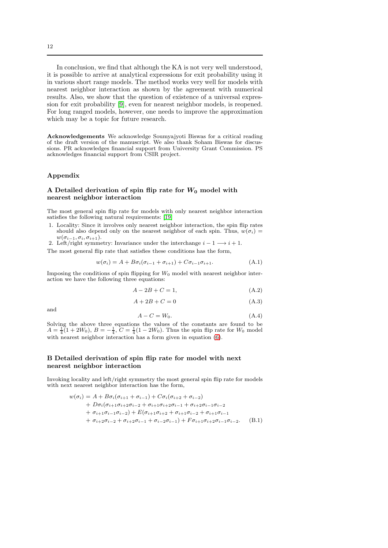In conclusion, we find that although the KA is not very well understood, it is possible to arrive at analytical expressions for exit probability using it in various short range models. The method works very well for models with nearest neighbor interaction as shown by the agreement with numerical results. Also, we show that the question of existence of a universal expression for exit probability [\[9\]](#page-12-8), even for nearest neighbor models, is reopened. For long ranged models, however, one needs to improve the approximation which may be a topic for future research.

Acknowledgements We acknowledge Soumyajyoti Biswas for a critical reading of the draft version of the manuscript. We also thank Soham Biswas for discussions. PR acknowledges financial support from University Grant Commission. PS acknowledges financial support from CSIR project.

### Appendix

### <span id="page-11-0"></span>A Detailed derivation of spin flip rate for  $W_0$  model with nearest neighbor interaction

The most general spin flip rate for models with only nearest neighbor interaction satisfies the following natural requirements: [\[19\]](#page-13-2)

- 1. Locality: Since it involves only nearest neighbor interaction, the spin flip rates should also depend only on the nearest neighbor of each spin. Thus,  $w(\sigma_i)$  =  $w(\sigma_{i-1}, \sigma_i, \sigma_{i+1}).$
- 2. Left/right symmetry: Invariance under the interchange  $i 1 \longrightarrow i + 1$ .

The most general flip rate that satisfies these conditions has the form,

$$
w(\sigma_i) = A + B\sigma_i(\sigma_{i-1} + \sigma_{i+1}) + C\sigma_{i-1}\sigma_{i+1}.
$$
\n(A.1)

Imposing the conditions of spin flipping for  $W_0$  model with nearest neighbor interaction we have the following three equations:

$$
A - 2B + C = 1,\tag{A.2}
$$

$$
A + 2B + C = 0 \tag{A.3}
$$

and

$$
A - C = W_0. \tag{A.4}
$$

Solving the above three equations the values of the constants are found to be  $A = \frac{1}{4}(1 + 2W_0)$ ,  $B = -\frac{1}{4}$ ,  $C = \frac{1}{4}(1 - 2W_0)$ . Thus the spin flip rate for  $W_0$  model with nearest neighbor interaction has a form given in equation [\(6\)](#page-3-4).

### <span id="page-11-1"></span>B Detailed derivation of spin flip rate for model with next nearest neighbor interaction

Invoking locality and left/right symmetry the most general spin flip rate for models with next nearest neighbor interaction has the form,

$$
w(\sigma_i) = A + B\sigma_i(\sigma_{i+1} + \sigma_{i-1}) + C\sigma_i(\sigma_{i+2} + \sigma_{i-2})
$$
  
+ 
$$
D\sigma_i(\sigma_{i+1}\sigma_{i+2}\sigma_{i-2} + \sigma_{i+1}\sigma_{i+2}\sigma_{i-1} + \sigma_{i+2}\sigma_{i-1}\sigma_{i-2})
$$
  
+ 
$$
\sigma_{i+1}\sigma_{i-1}\sigma_{i-2}) + E(\sigma_{i+1}\sigma_{i+2} + \sigma_{i+1}\sigma_{i-2} + \sigma_{i+1}\sigma_{i-1})
$$
  
+ 
$$
\sigma_{i+2}\sigma_{i-2} + \sigma_{i+2}\sigma_{i-1} + \sigma_{i-2}\sigma_{i-1}) + F\sigma_{i+1}\sigma_{i+2}\sigma_{i-1}\sigma_{i-2}.
$$
 (B.1)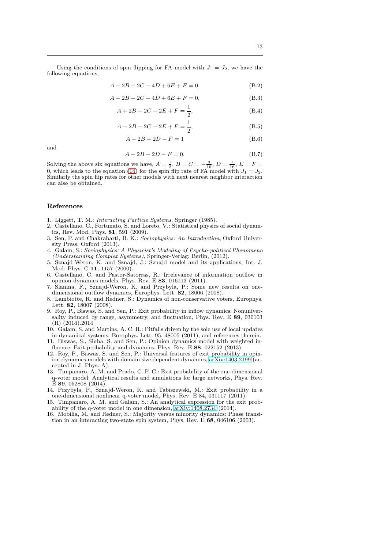$$
A + 2B + 2C + 4D + 6E + F = 0,
$$
 (B.2)

$$
A - 2B - 2C - 4D + 6E + F = 0,
$$
 (B.3)

$$
A + 2B - 2C - 2E + F = \frac{1}{2},
$$
 (B.4)

$$
A - 2B + 2C - 2E + F = \frac{1}{2},
$$
\n(B.5)

$$
A - 2B + 2D - F = 1
$$
 (B.6)

and

$$
A + 2B - 2D - F = 0.
$$
 (B.7)

Solving the above six equations we have,  $A = \frac{1}{2}$ ,  $B = C = -\frac{3}{16}$ ,  $D = \frac{1}{16}$ ,  $E = F =$ 0, which leads to the equation [\(14\)](#page-4-1) for the spin flip rate of FA model with  $J_1 = J_2$ . Similarly the spin flip rates for other models with next nearest neighbor interaction can also be obtained.

#### References

- <span id="page-12-1"></span><span id="page-12-0"></span>1. Liggett, T. M.: Interacting Particle Systems, Springer (1985).
- 2. Castellano, C., Fortunato, S. and Loreto, V.: Statistical physics of social dynamics, Rev. Mod. Phys. 81, 591 (2009).
- <span id="page-12-2"></span>3. Sen, P. and Chakrabarti, B. K.: Sociophysics: An Introduction, Oxford University Press, Oxford (2013).
- <span id="page-12-3"></span>4. Galam, S.: Sociophysics: A Physicist's Modeling of Psycho-political Phenomena (Understanding Complex Systems), Springer-Verlag: Berlin, (2012).
- <span id="page-12-4"></span>5. Sznajd-Weron, K. and Sznajd, J.: Sznajd model and its applications, Int. J. Mod. Phys. C 11, 1157 (2000).
- <span id="page-12-5"></span>6. Castellano, C. and Pastor-Satorras, R.: Irrelevance of information outflow in opinion dynamics models, Phys. Rev. E 83, 016113 (2011).
- <span id="page-12-6"></span>7. Slanina, F., Sznajd-Weron, K. and Przybyla, P.: Some new results on onedimensional outflow dynamics, Europhys. Lett. 82, 18006 (2008).
- <span id="page-12-7"></span>8. Lambiotte, R. and Redner, S.: Dynamics of non-conservative voters, Europhys. Lett. 82, 18007 (2008).
- <span id="page-12-8"></span>9. Roy, P., Biswas, S. and Sen, P.: Exit probability in inflow dynamics: Nonuniversality induced by range, asymmetry, and fluctuation, Phys. Rev. E 89, 030103 (R) (2014).2014
- <span id="page-12-9"></span>10. Galam, S. and Martins, A. C. R.: Pitfalls driven by the sole use of local updates in dynamical systems, Europhys. Lett. 95, 48005 (2011), and references therein.
- <span id="page-12-10"></span>11. Biswas, S., Sinha, S. and Sen, P.: Opinion dynamics model with weighted influence: Exit probability and dynamics, Phys. Rev. E 88, 022152 (2013).
- <span id="page-12-11"></span>12. Roy, P., Biswas, S. and Sen, P.: Universal features of exit probability in opinion dynamics models with domain size dependent dynamics, [arXiv:1403.2199](http://arxiv.org/abs/1403.2199) (accepted in J. Phys. A).
- <span id="page-12-12"></span>13. Timpanaro, A. M. and Prado, C. P. C.: Exit probability of the one-dimensional q-voter model: Analytical results and simulations for large networks, Phys. Rev. E 89, 052808 (2014).
- <span id="page-12-13"></span>14. Przybyla, P., Sznajd-Weron, K. and Tabiszewski, M.: Exit probability in a one-dimensional nonlinear q-voter model, Phys. Rev. E 84, 031117 (2011).
- <span id="page-12-14"></span>15. Timpanaro, A. M. and Galam, S.: An analytical expression for the exit probability of the q-voter model in one dimension, [arXiv:1408.2734](http://arxiv.org/abs/1408.2734) (2014).
- <span id="page-12-15"></span>16. Mobilia, M. and Redner, S.: Majority versus minority dynamics: Phase transition in an interacting two-state spin system, Phys. Rev. E 68, 046106 (2003).